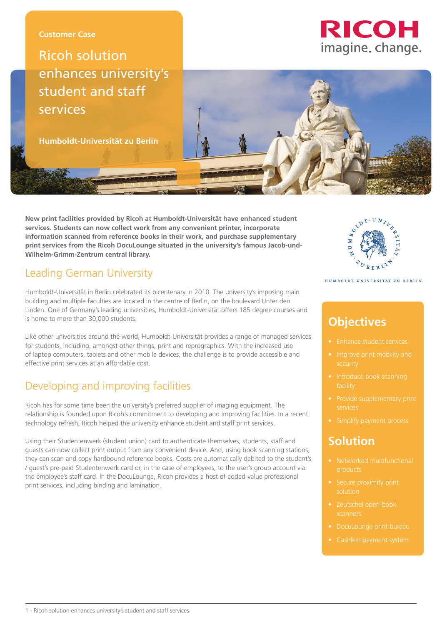### **Customer Case**

# Ricoh solution enhances university's student and staff services

**Humboldt-Universität zu Berlin**

**New print facilities provided by Ricoh at Humboldt-Universität have enhanced student services. Students can now collect work from any convenient printer, incorporate information scanned from reference books in their work, and purchase supplementary print services from the Ricoh DocuLounge situated in the university's famous Jacob-und-Wilhelm-Grimm-Zentrum central library.**

# Leading German University

Humboldt-Universität in Berlin celebrated its bicentenary in 2010. The university's imposing main building and multiple faculties are located in the centre of Berlin, on the boulevard Unter den Linden. One of Germany's leading universities, Humboldt-Universität offers 185 degree courses and is home to more than 30,000 students.

Like other universities around the world, Humboldt-Universität provides a range of managed services for students, including, amongst other things, print and reprographics. With the increased use of laptop computers, tablets and other mobile devices, the challenge is to provide accessible and effective print services at an affordable cost.

# Developing and improving facilities

Ricoh has for some time been the university's preferred supplier of imaging equipment. The relationship is founded upon Ricoh's commitment to developing and improving facilities. In a recent technology refresh, Ricoh helped the university enhance student and staff print services.

Using their Studentenwerk (student union) card to authenticate themselves, students, staff and guests can now collect print output from any convenient device. And, using book scanning stations, they can scan and copy hardbound reference books. Costs are automatically debited to the student's / guest's pre-paid Studentenwerk card or, in the case of employees, to the user's group account via the employee's staff card. In the DocuLounge, Ricoh provides a host of added-value professional print services, including binding and lamination.



#### HUMBOLDT-UNIVERSITÄT ZU BERLIN

# **Objectives**

- 
- 
- 
- 
- 

### **Solution**

- 
- 
- 
- 
-